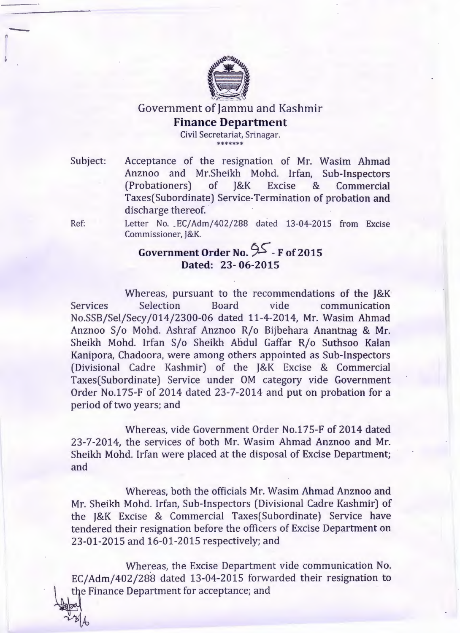

Government of Jammu and Kashmir **Finance Department**

> Civil Secretariat, Srinagar. \*\*\*\*\*\*\*

Subject:

 $-$ 

Acceptance of the resignation of Mr. Wasim Ahmad Anznoo and Mr.Sheikh Mohd. Irfan, Sub-Inspectors (Probationers) of J&K Excise & Commercial Taxes(Subordinate) Service-Termination of probation and discharge thereof.

Ref:

Letter No. *EC*/Adm/402/288 dated 13-04-2015 from Excise Commissioner, J&K.

## **Government Order No.** 9S--**F of2015 Dated:** 23- **06-2015**

Whereas, pursuant to the recommendations of the J&K Services Selection Board vide communication No.SSB/Sel/Secy/014/2300-06 dated 11-4-2014, Mr. Wasim Ahmad Anznoo S/o Mohd. Ashraf Anznoo R/o Bijbehara Anantnag & Mr. Sheikh Mohd. Irfan S/o Sheikh Abdul Gaffar R/o Suthsoo Kalan Kanipora, Chadoora, were among others appointed as Sub-Inspectors (Divisional Cadre Kashmir) of the J&K Excise & Commercial Taxes(Subordinate) Service under OM category vide Government Order No.175-F of 2014 dated 23-7-2014 and put on probation for a period of two years; and

Whereas, vide Government Order No.175-F of 2014 dated 23-7-2014, the services of both Mr. Wasim Ahmad Anznoo and Mr. Sheikh Mohd. Irfan were placed at the disposal of Excise Department; and

Whereas, both the officials Mr. Wasim Ahmad Anznoo and Mr. Sheikh Mohd. Irfan, Sub-Inspectors (Divisional Cadre Kashmir) of the J&K Excise & Commercial Taxes(Subordinate) Service have tendered their resignation before the officers of Excise Department on 23-01-2015 and 16-01-2015 respectively; and

Whereas, the Excise Department vide communication No. EC/Adm/402/288 dated 13-04-2015 forwarded their resignation to the Finance Department for acceptance; and